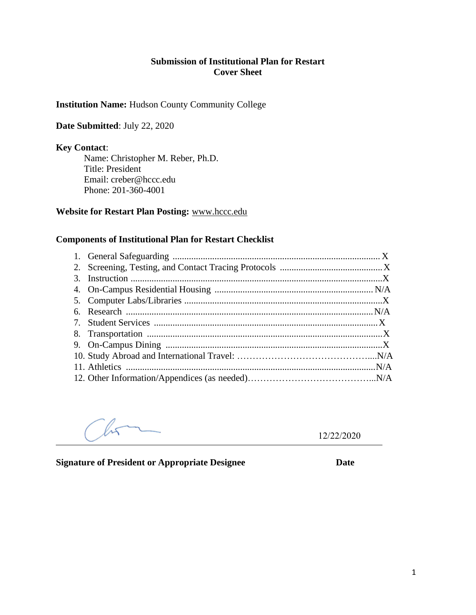#### **Submission of Institutional Plan for Restart Cover Sheet**

#### **Institution Name:** Hudson County Community College

#### **Date Submitted**: July 22, 2020

#### **Key Contact**:

Name: Christopher M. Reber, Ph.D. Title: President Email: [creber@hccc.edu](mailto:creber@hccc.edu) Phone: 201-360-4001

#### **Website for Restart Plan Posting:** [www.hccc.edu](http://www.hccc.edu/)

#### **Components of Institutional Plan for Restart Checklist**

12/22/2020

**Signature of President or Appropriate Designee Date**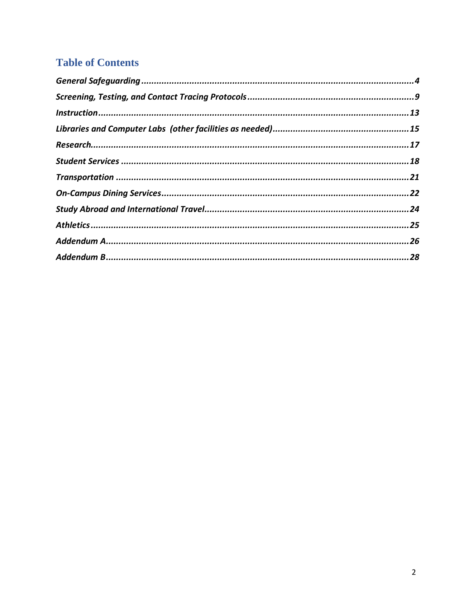# **Table of Contents**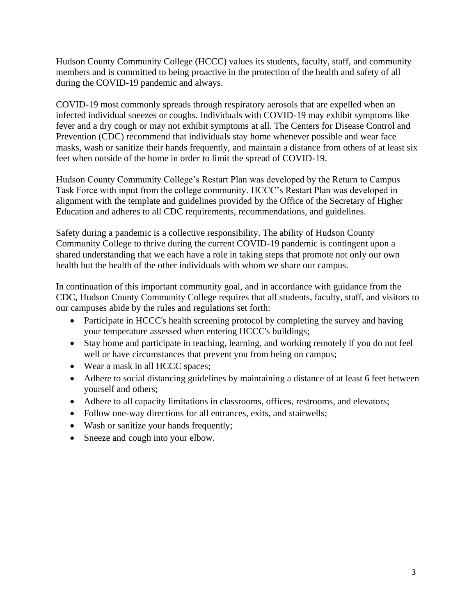Hudson County Community College (HCCC) values its students, faculty, staff, and community members and is committed to being proactive in the protection of the health and safety of all during the COVID-19 pandemic and always.

COVID-19 most commonly spreads through respiratory aerosols that are expelled when an infected individual sneezes or coughs. Individuals with COVID-19 may exhibit symptoms like fever and a dry cough or may not exhibit symptoms at all. The Centers for Disease Control and Prevention (CDC) recommend that individuals stay home whenever possible and wear face masks, wash or sanitize their hands frequently, and maintain a distance from others of at least six feet when outside of the home in order to limit the spread of COVID-19.

Hudson County Community College's Restart Plan was developed by the Return to Campus Task Force with input from the college community. HCCC's Restart Plan was developed in alignment with the template and guidelines provided by the Office of the Secretary of Higher Education and adheres to all CDC requirements, recommendations, and guidelines.

Safety during a pandemic is a collective responsibility. The ability of Hudson County Community College to thrive during the current COVID-19 pandemic is contingent upon a shared understanding that we each have a role in taking steps that promote not only our own health but the health of the other individuals with whom we share our campus.

In continuation of this important community goal, and in accordance with guidance from the CDC, Hudson County Community College requires that all students, faculty, staff, and visitors to our campuses abide by the rules and regulations set forth:

- Participate in HCCC's health screening protocol by completing the survey and having your temperature assessed when entering HCCC's buildings;
- Stay home and participate in teaching, learning, and working remotely if you do not feel well or have circumstances that prevent you from being on campus;
- Wear a mask in all HCCC spaces;
- Adhere to social distancing guidelines by maintaining a distance of at least 6 feet between yourself and others;
- Adhere to all capacity limitations in classrooms, offices, restrooms, and elevators;
- Follow one-way directions for all entrances, exits, and stairwells;
- Wash or sanitize your hands frequently;
- Sneeze and cough into your elbow.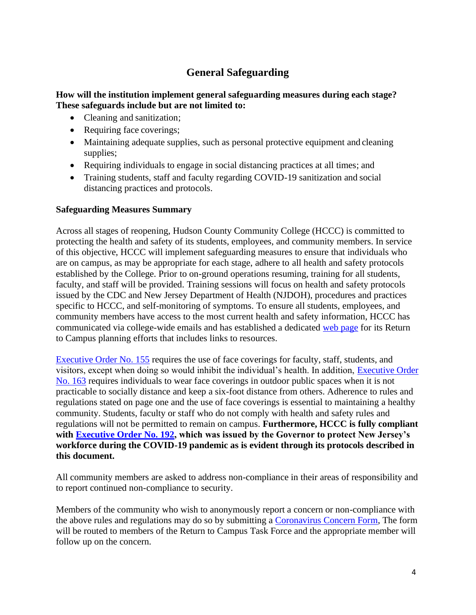# **General Safeguarding**

#### <span id="page-3-0"></span>**How will the institution implement general safeguarding measures during each stage? These safeguards include but are not limited to:**

- Cleaning and sanitization;
- Requiring face coverings;
- Maintaining adequate supplies, such as personal protective equipment and cleaning supplies;
- Requiring individuals to engage in social distancing practices at all times; and
- Training students, staff and faculty regarding COVID-19 sanitization and social distancing practices and protocols.

### **Safeguarding Measures Summary**

Across all stages of reopening, Hudson County Community College (HCCC) is committed to protecting the health and safety of its students, employees, and community members. In service of this objective, HCCC will implement safeguarding measures to ensure that individuals who are on campus, as may be appropriate for each stage, adhere to all health and safety protocols established by the College. Prior to on-ground operations resuming, training for all students, faculty, and staff will be provided. Training sessions will focus on health and safety protocols issued by the CDC and New Jersey Department of Health (NJDOH), procedures and practices specific to HCCC, and self-monitoring of symptoms. To ensure all students, employees, and community members have access to the most current health and safety information, HCCC has communicated via college-wide emails and has established a dedicated [web page](http://www.hccc.edu/returntocampus) for its Return to Campus planning efforts that includes links to resources.

[Executive Order No. 155](https://www.nj.gov/infobank/eo/056murphy/pdf/EO-155.pdf) requires the use of face coverings for faculty, staff, students, and visitors, except when doing so would inhibit the individual's health. In addition, [Executive Order](https://www.nj.gov/infobank/eo/056murphy/pdf/EO-163.pdf)  [No. 163](https://www.nj.gov/infobank/eo/056murphy/pdf/EO-163.pdf) requires individuals to wear face coverings in outdoor public spaces when it is not practicable to socially distance and keep a six-foot distance from others. Adherence to rules and regulations stated on page one and the use of face coverings is essential to maintaining a healthy community. Students, faculty or staff who do not comply with health and safety rules and regulations will not be permitted to remain on campus. **Furthermore, HCCC is fully compliant with [Executive Order No. 192,](https://nj.gov/infobank/eo/056murphy/pdf/EO-192.pdf) which was issued by the Governor to protect New Jersey's workforce during the COVID-19 pandemic as is evident through its protocols described in this document.** 

All community members are asked to address non-compliance in their areas of responsibility and to report continued non-compliance to security.

Members of the community who wish to anonymously report a concern or non-compliance with the above rules and regulations may do so by submitting a [Coronavirus Concern Form,](https://cm.maxient.com/reportingform.php?HudsonCountyCC&layout_id=5) The form will be routed to members of the Return to Campus Task Force and the appropriate member will follow up on the concern.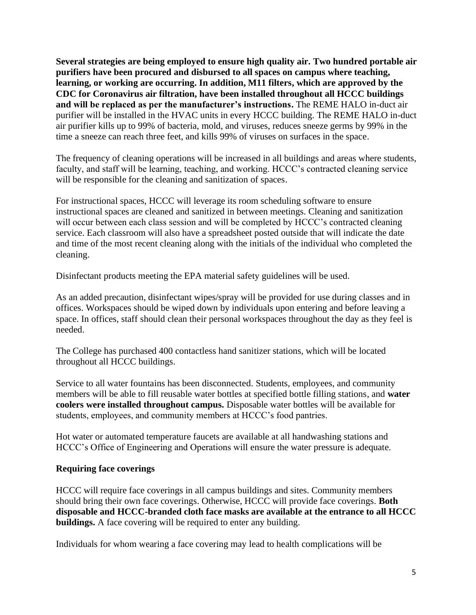**Several strategies are being employed to ensure high quality air. Two hundred portable air purifiers have been procured and disbursed to all spaces on campus where teaching, learning, or working are occurring. In addition, M11 filters, which are approved by the CDC for Coronavirus air filtration, have been installed throughout all HCCC buildings and will be replaced as per the manufacturer's instructions.** The REME HALO in-duct air purifier will be installed in the HVAC units in every HCCC building. The REME HALO in-duct air purifier kills up to 99% of bacteria, mold, and viruses, reduces sneeze germs by 99% in the time a sneeze can reach three feet, and kills 99% of viruses on surfaces in the space.

The frequency of cleaning operations will be increased in all buildings and areas where students, faculty, and staff will be learning, teaching, and working. HCCC's contracted cleaning service will be responsible for the cleaning and sanitization of spaces.

For instructional spaces, HCCC will leverage its room scheduling software to ensure instructional spaces are cleaned and sanitized in between meetings. Cleaning and sanitization will occur between each class session and will be completed by HCCC's contracted cleaning service. Each classroom will also have a spreadsheet posted outside that will indicate the date and time of the most recent cleaning along with the initials of the individual who completed the cleaning.

Disinfectant products meeting the EPA material safety guidelines will be used.

As an added precaution, disinfectant wipes/spray will be provided for use during classes and in offices. Workspaces should be wiped down by individuals upon entering and before leaving a space. In offices, staff should clean their personal workspaces throughout the day as they feel is needed.

The College has purchased 400 contactless hand sanitizer stations, which will be located throughout all HCCC buildings.

Service to all water fountains has been disconnected. Students, employees, and community members will be able to fill reusable water bottles at specified bottle filling stations, and **water coolers were installed throughout campus.** Disposable water bottles will be available for students, employees, and community members at HCCC's food pantries.

Hot water or automated temperature faucets are available at all handwashing stations and HCCC's Office of Engineering and Operations will ensure the water pressure is adequate.

### **Requiring face coverings**

HCCC will require face coverings in all campus buildings and sites. Community members should bring their own face coverings. Otherwise, HCCC will provide face coverings. **Both disposable and HCCC-branded cloth face masks are available at the entrance to all HCCC buildings.** A face covering will be required to enter any building.

Individuals for whom wearing a face covering may lead to health complications will be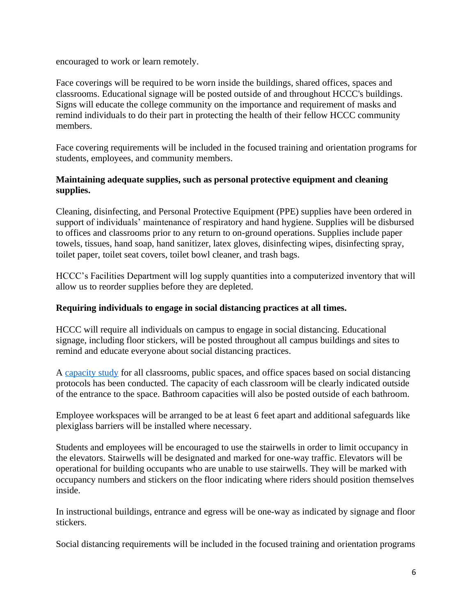encouraged to work or learn remotely.

Face coverings will be required to be worn inside the buildings, shared offices, spaces and classrooms. Educational signage will be posted outside of and throughout HCCC's buildings. Signs will educate the college community on the importance and requirement of masks and remind individuals to do their part in protecting the health of their fellow HCCC community members.

Face covering requirements will be included in the focused training and orientation programs for students, employees, and community members.

## **Maintaining adequate supplies, such as personal protective equipment and cleaning supplies.**

Cleaning, disinfecting, and Personal Protective Equipment (PPE) supplies have been ordered in support of individuals' maintenance of respiratory and hand hygiene. Supplies will be disbursed to offices and classrooms prior to any return to on-ground operations. Supplies include paper towels, tissues, hand soap, hand sanitizer, latex gloves, disinfecting wipes, disinfecting spray, toilet paper, toilet seat covers, toilet bowl cleaner, and trash bags.

HCCC's Facilities Department will log supply quantities into a computerized inventory that will allow us to reorder supplies before they are depleted.

### **Requiring individuals to engage in social distancing practices at all times.**

HCCC will require all individuals on campus to engage in social distancing. Educational signage, including floor stickers, will be posted throughout all campus buildings and sites to remind and educate everyone about social distancing practices.

A [capacity study](http://www.hccc.edu/uploadedFiles/Pages/Campus_Life/Return_To_Campus/Final%206-24-20.pdf) for all classrooms, public spaces, and office spaces based on social distancing protocols has been conducted. The capacity of each classroom will be clearly indicated outside of the entrance to the space. Bathroom capacities will also be posted outside of each bathroom.

Employee workspaces will be arranged to be at least 6 feet apart and additional safeguards like plexiglass barriers will be installed where necessary.

Students and employees will be encouraged to use the stairwells in order to limit occupancy in the elevators. Stairwells will be designated and marked for one-way traffic. Elevators will be operational for building occupants who are unable to use stairwells. They will be marked with occupancy numbers and stickers on the floor indicating where riders should position themselves inside.

In instructional buildings, entrance and egress will be one-way as indicated by signage and floor stickers.

Social distancing requirements will be included in the focused training and orientation programs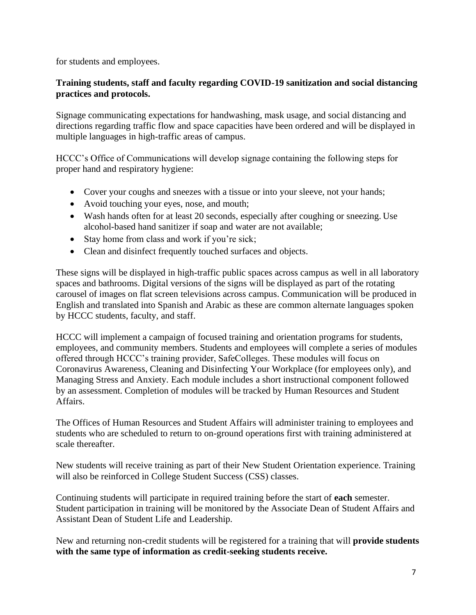for students and employees.

## **Training students, staff and faculty regarding COVID-19 sanitization and social distancing practices and protocols.**

Signage communicating expectations for handwashing, mask usage, and social distancing and directions regarding traffic flow and space capacities have been ordered and will be displayed in multiple languages in high-traffic areas of campus.

HCCC's Office of Communications will develop signage containing the following steps for proper hand and respiratory hygiene:

- Cover your coughs and sneezes with a tissue or into your sleeve, not your hands;
- Avoid touching your eyes, nose, and mouth;
- Wash hands often for at least 20 seconds, especially after coughing or sneezing. Use alcohol-based hand sanitizer if soap and water are not available;
- Stay home from class and work if you're sick;
- Clean and disinfect frequently touched surfaces and objects.

These signs will be displayed in high-traffic public spaces across campus as well in all laboratory spaces and bathrooms. Digital versions of the signs will be displayed as part of the rotating carousel of images on flat screen televisions across campus. Communication will be produced in English and translated into Spanish and Arabic as these are common alternate languages spoken by HCCC students, faculty, and staff.

HCCC will implement a campaign of focused training and orientation programs for students, employees, and community members. Students and employees will complete a series of modules offered through HCCC's training provider, SafeColleges. These modules will focus on Coronavirus Awareness, Cleaning and Disinfecting Your Workplace (for employees only), and Managing Stress and Anxiety. Each module includes a short instructional component followed by an assessment. Completion of modules will be tracked by Human Resources and Student Affairs.

The Offices of Human Resources and Student Affairs will administer training to employees and students who are scheduled to return to on-ground operations first with training administered at scale thereafter.

New students will receive training as part of their New Student Orientation experience. Training will also be reinforced in College Student Success (CSS) classes.

Continuing students will participate in required training before the start of **each** semester. Student participation in training will be monitored by the Associate Dean of Student Affairs and Assistant Dean of Student Life and Leadership.

New and returning non-credit students will be registered for a training that will **provide students with the same type of information as credit-seeking students receive.**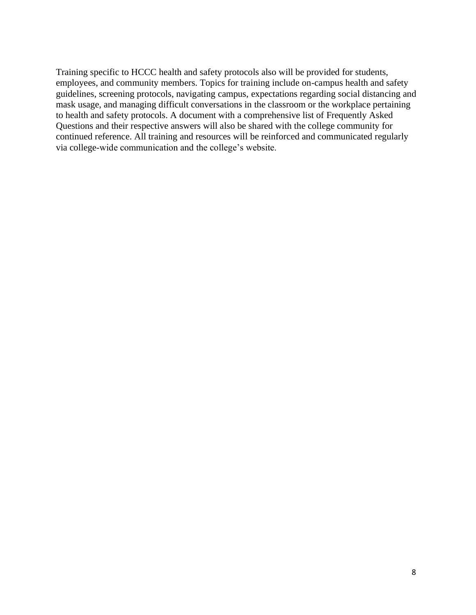Training specific to HCCC health and safety protocols also will be provided for students, employees, and community members. Topics for training include on-campus health and safety guidelines, screening protocols, navigating campus, expectations regarding social distancing and mask usage, and managing difficult conversations in the classroom or the workplace pertaining to health and safety protocols. A document with a comprehensive list of Frequently Asked Questions and their respective answers will also be shared with the college community for continued reference. All training and resources will be reinforced and communicated regularly via college-wide communication and the college's website.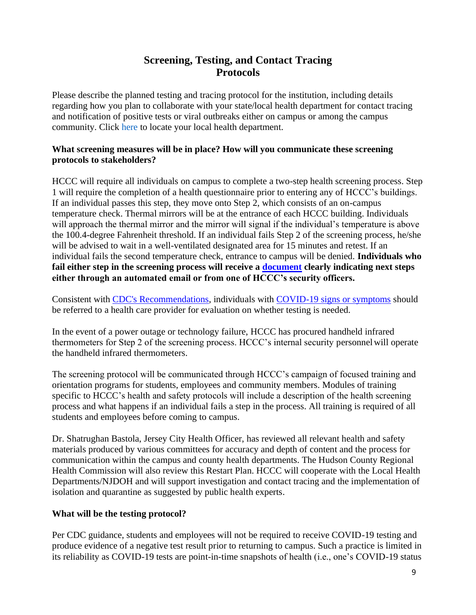# **Screening, Testing, and Contact Tracing Protocols**

<span id="page-8-0"></span>Please describe the planned testing and tracing protocol for the institution, including details regarding how you plan to collaborate with your state/local health department for contact tracing and notification of positive tests or viral outbreaks either on campus or among the campus community. Click here to locate your local health department.

## **What screening measures will be in place? How will you communicate these screening protocols to stakeholders?**

HCCC will require all individuals on campus to complete a two-step health screening process. Step 1 will require the completion of a health questionnaire prior to entering any of HCCC's buildings. If an individual passes this step, they move onto Step 2, which consists of an on-campus temperature check. Thermal mirrors will be at the entrance of each HCCC building. Individuals will approach the thermal mirror and the mirror will signal if the individual's temperature is above the 100.4-degree Fahrenheit threshold. If an individual fails Step 2 of the screening process, he/she will be advised to wait in a well-ventilated designated area for 15 minutes and retest. If an individual fails the second temperature check, entrance to campus will be denied. **Individuals who fail either step in the screening process will receive a [document](http://www.hccc.edu/uploadedFiles/Pages/Campus_Life/Return_To_Campus/Notification%20of%20failed%20health%20screening.pdf) clearly indicating next steps either through an automated email or from one of HCCC's security officers.** 

Consistent with [CDC's Recommendations,](https://www.cdc.gov/coronavirus/2019-ncov/symptoms-testing/testing.html) individuals with [COVID-19 signs or symptoms](https://www.cdc.gov/coronavirus/2019-ncov/symptoms-testing/symptoms.html) should be referred to a health care provider for evaluation on whether testing is needed.

In the event of a power outage or technology failure, HCCC has procured handheld infrared thermometers for Step 2 of the screening process. HCCC's internal security personnelwill operate the handheld infrared thermometers.

The screening protocol will be communicated through HCCC's campaign of focused training and orientation programs for students, employees and community members. Modules of training specific to HCCC's health and safety protocols will include a description of the health screening process and what happens if an individual fails a step in the process. All training is required of all students and employees before coming to campus.

Dr. Shatrughan Bastola, Jersey City Health Officer, has reviewed all relevant health and safety materials produced by various committees for accuracy and depth of content and the process for communication within the campus and county health departments. The Hudson County Regional Health Commission will also review this Restart Plan. HCCC will cooperate with the Local Health Departments/NJDOH and will support investigation and contact tracing and the implementation of isolation and quarantine as suggested by public health experts.

### **What will be the testing protocol?**

Per CDC guidance, students and employees will not be required to receive COVID-19 testing and produce evidence of a negative test result prior to returning to campus. Such a practice is limited in its reliability as COVID-19 tests are point-in-time snapshots of health (i.e., one's COVID-19 status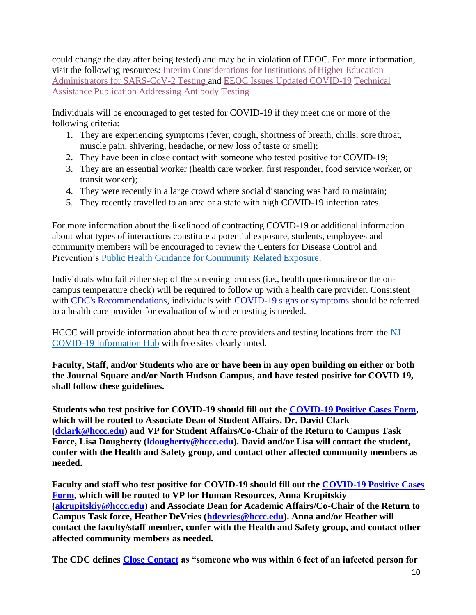could change the day after being tested) and may be in violation of EEOC. For more information, visit the following resources: [Interim Considerations for Institutions of](https://www.cdc.gov/coronavirus/2019-ncov/community/colleges-universities/ihe-testing.html) Higher [Education](https://www.cdc.gov/coronavirus/2019-ncov/community/colleges-universities/ihe-testing.html)  [Administrators for SARS-CoV-2 Testing a](https://www.cdc.gov/coronavirus/2019-ncov/community/colleges-universities/ihe-testing.html)nd [EEOC Issues Updated COVID-19](https://www.eeoc.gov/newsroom/eeoc-issues-updated-covid-19-technical-assistance-publication-addressing-antibody-testing) [Technical](https://www.eeoc.gov/newsroom/eeoc-issues-updated-covid-19-technical-assistance-publication-addressing-antibody-testing)  [Assistance Publication Addressing Antibody Testing](https://www.eeoc.gov/newsroom/eeoc-issues-updated-covid-19-technical-assistance-publication-addressing-antibody-testing)

Individuals will be encouraged to get tested for COVID-19 if they meet one or more of the following criteria:

- 1. [They are experiencing symptoms \(](https://self.covid19.nj.gov/)fever, cough, shortness of breath, chills, sore throat, muscle pain, shivering, headache, or new loss of taste or smell);
- 2. They have been in close contact with someone who tested positive for COVID-19;
- 3. They are an essential worker (health care worker, first responder, food service worker, or transit worker);
- 4. They were recently in a large crowd where social distancing was hard to maintain;
- 5. They [recently travelled to an area or a state with high COVID-19 infection](https://covid19.nj.gov/faqs/nj-information/general-public/are-there-travel-restrictions-to-or-from-new-jersey-should-i-self-quarantine-if-i-have-recently-traveled) rates.

For more information about the likelihood of contracting COVID-19 or additional information about what types of interactions constitute a potential exposure, students, employees and community members will be encouraged to review the Centers for Disease Control and Prevention's [Public Health Guidance for Community Related Exposure.](https://www.cdc.gov/coronavirus/2019-ncov/php/public-health-recommendations.html)

Individuals who fail either step of the screening process (i.e., health questionnaire or the oncampus temperature check) will be required to follow up with a health care provider. Consistent with [CDC's Recommendations,](https://www.cdc.gov/coronavirus/2019-ncov/symptoms-testing/testing.html) individuals with [COVID-19 signs or symptoms](https://www.cdc.gov/coronavirus/2019-ncov/symptoms-testing/symptoms.html) should be referred to a health care provider for evaluation of whether testing is needed.

HCCC will provide information about health care providers and testing locations from the [NJ](https://covid19.nj.gov/pages/testing#test-sites)  [COVID-19 Information Hub](https://covid19.nj.gov/pages/testing#test-sites) with free sites clearly noted.

**Faculty, Staff, and/or Students who are or have been in any open building on either or both the Journal Square and/or North Hudson Campus, and have tested positive for COVID 19, shall follow these guidelines.** 

**Students who test positive for COVID-19 should fill out the [COVID-19 Positive Cases Form,](https://cm.maxient.com/reportingform.php?HudsonCountyCC&layout_id=7) which will be routed to Associate Dean of Student Affairs, Dr. David Clark [\(dclark@hccc.edu\)](mailto:dclark@hccc.edu) and VP for Student Affairs/Co-Chair of the Return to Campus Task Force, Lisa Dougherty [\(ldougherty@hccc.edu\)](mailto:ldougherty@hccc.edu). David and/or Lisa will contact the student, confer with the Health and Safety group, and contact other affected community members as needed.** 

**Faculty and staff who test positive for COVID-19 should fill out the [COVID-19 Positive Cases](https://cm.maxient.com/reportingform.php?HudsonCountyCC&layout_id=7)  [Form,](https://cm.maxient.com/reportingform.php?HudsonCountyCC&layout_id=7) which will be routed to VP for Human Resources, Anna Krupitskiy [\(akrupitskiy@hccc.edu\)](mailto:akrupitskiy@hccc.edu) and Associate Dean for Academic Affairs/Co-Chair of the Return to Campus Task force, Heather DeVries [\(hdevries@hccc.edu\)](mailto:hdevries@hccc.edu). Anna and/or Heather will contact the faculty/staff member, confer with the Health and Safety group, and contact other affected community members as needed.**

**The CDC defines [Close Contact](https://www.cdc.gov/coronavirus/2019-ncov/php/contact-tracing/contact-tracing-plan/appendix.html#contact) as "someone who was within 6 feet of an infected person for**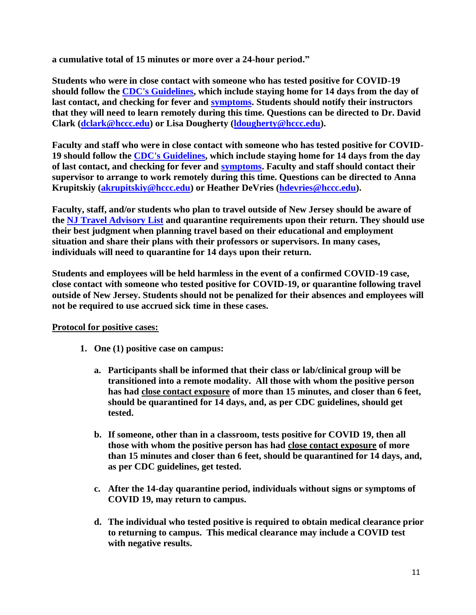**a cumulative total of 15 minutes or more over a 24-hour period."**

**Students who were in close contact with someone who has tested positive for COVID-19 should follow the [CDC's Guidelines,](https://www.cdc.gov/coronavirus/2019-ncov/if-you-are-sick/quarantine.html) which include staying home for 14 days from the day of last contact, and checking for fever and [symptoms.](https://www.cdc.gov/coronavirus/2019-ncov/symptoms-testing/symptoms.html) Students should notify their instructors that they will need to learn remotely during this time. Questions can be directed to Dr. David Clark [\(dclark@hccc.edu\)](mailto:dclark@hccc.edu) or Lisa Dougherty [\(ldougherty@hccc.edu\)](mailto:ldougherty@hccc.edu).**

**Faculty and staff who were in close contact with someone who has tested positive for COVID-19 should follow the [CDC's Guidelines,](https://www.cdc.gov/coronavirus/2019-ncov/if-you-are-sick/quarantine.html) which include staying home for 14 days from the day of last contact, and checking for fever and [symptoms.](https://www.cdc.gov/coronavirus/2019-ncov/symptoms-testing/symptoms.html) Faculty and staff should contact their supervisor to arrange to work remotely during this time. Questions can be directed to Anna Krupitskiy [\(akrupitskiy@hccc.edu\)](mailto:akrupitskiy@hccc.edu) or Heather DeVries [\(hdevries@hccc.edu\)](mailto:hdevries@hccc.edu).**

**Faculty, staff, and/or students who plan to travel outside of New Jersey should be aware of the [NJ Travel Advisory List](https://covid19.nj.gov/faqs/nj-information/travel-and-transportation/which-states-are-on-the-travel-advisory-list-are-there-travel-restrictions-to-or-from-new-jersey) and quarantine requirements upon their return. They should use their best judgment when planning travel based on their educational and employment situation and share their plans with their professors or supervisors. In many cases, individuals will need to quarantine for 14 days upon their return.**

**Students and employees will be held harmless in the event of a confirmed COVID-19 case, close contact with someone who tested positive for COVID-19, or quarantine following travel outside of New Jersey. Students should not be penalized for their absences and employees will not be required to use accrued sick time in these cases.**

### **Protocol for positive cases:**

- **1. One (1) positive case on campus:**
	- **a. Participants shall be informed that their class or lab/clinical group will be transitioned into a remote modality. All those with whom the positive person has had close contact exposure of more than 15 minutes, and closer than 6 feet, should be quarantined for 14 days, and, as per CDC guidelines, should get tested.**
	- **b. If someone, other than in a classroom, tests positive for COVID 19, then all those with whom the positive person has had close contact exposure of more than 15 minutes and closer than 6 feet, should be quarantined for 14 days, and, as per CDC guidelines, get tested.**
	- **c. After the 14-day quarantine period, individuals without signs or symptoms of COVID 19, may return to campus.**
	- **d. The individual who tested positive is required to obtain medical clearance prior to returning to campus. This medical clearance may include a COVID test with negative results.**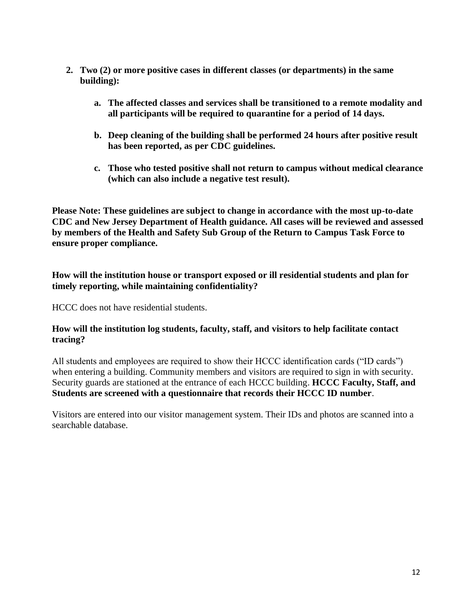- **2. Two (2) or more positive cases in different classes (or departments) in the same building):**
	- **a. The affected classes and services shall be transitioned to a remote modality and all participants will be required to quarantine for a period of 14 days.**
	- **b. Deep cleaning of the building shall be performed 24 hours after positive result has been reported, as per CDC guidelines.**
	- **c. Those who tested positive shall not return to campus without medical clearance (which can also include a negative test result).**

**Please Note: These guidelines are subject to change in accordance with the most up-to-date CDC and New Jersey Department of Health guidance. All cases will be reviewed and assessed by members of the Health and Safety Sub Group of the Return to Campus Task Force to ensure proper compliance.**

**How will the institution house or transport exposed or ill residential students and plan for timely reporting, while maintaining confidentiality?**

HCCC does not have residential students.

#### **How will the institution log students, faculty, staff, and visitors to help facilitate contact tracing?**

All students and employees are required to show their HCCC identification cards ("ID cards") when entering a building. Community members and visitors are required to sign in with security. Security guards are stationed at the entrance of each HCCC building. **HCCC Faculty, Staff, and Students are screened with a questionnaire that records their HCCC ID number**.

Visitors are entered into our visitor management system. Their IDs and photos are scanned into a searchable database.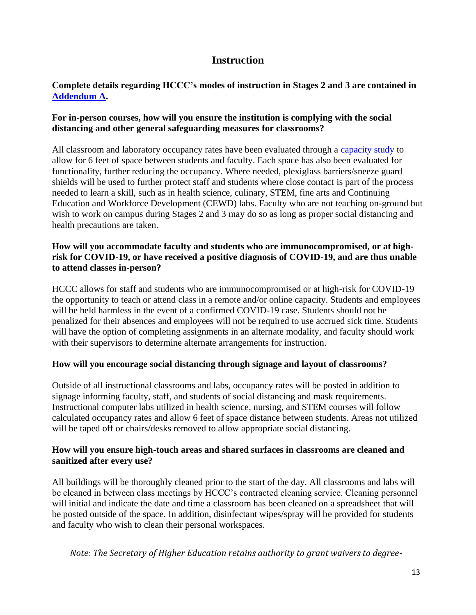## **Instruction**

### <span id="page-12-0"></span>**Complete details regarding HCCC's modes of instruction in Stages 2 and 3 are contained in [Addendum A.](#page-25-0)**

### **For in-person courses, how will you ensure the institution is complying with the social distancing and other general safeguarding measures for classrooms?**

All classroom and laboratory occupancy rates have been evaluated through a [capacity study t](http://www.hccc.edu/uploadedFiles/Pages/Campus_Life/Return_To_Campus/Final%206-24-20.pdf)o allow for 6 feet of space between students and faculty. Each space has also been evaluated for functionality, further reducing the occupancy. Where needed, plexiglass barriers/sneeze guard shields will be used to further protect staff and students where close contact is part of the process needed to learn a skill, such as in health science, culinary, STEM, fine arts and Continuing Education and Workforce Development (CEWD) labs. Faculty who are not teaching on-ground but wish to work on campus during Stages 2 and 3 may do so as long as proper social distancing and health precautions are taken.

### **How will you accommodate faculty and students who are immunocompromised, or at highrisk for COVID-19, or have received a positive diagnosis of COVID-19, and are thus unable to attend classes in-person?**

HCCC allows for staff and students who are immunocompromised or at high-risk for COVID-19 the opportunity to teach or attend class in a remote and/or online capacity. Students and employees will be held harmless in the event of a confirmed COVID-19 case. Students should not be penalized for their absences and employees will not be required to use accrued sick time. Students will have the option of completing assignments in an alternate modality, and faculty should work with their supervisors to determine alternate arrangements for instruction.

### **How will you encourage social distancing through signage and layout of classrooms?**

Outside of all instructional classrooms and labs, occupancy rates will be posted in addition to signage informing faculty, staff, and students of social distancing and mask requirements. Instructional computer labs utilized in health science, nursing, and STEM courses will follow calculated occupancy rates and allow 6 feet of space distance between students. Areas not utilized will be taped off or chairs/desks removed to allow appropriate social distancing.

### **How will you ensure high-touch areas and shared surfaces in classrooms are cleaned and sanitized after every use?**

All buildings will be thoroughly cleaned prior to the start of the day. All classrooms and labs will be cleaned in between class meetings by HCCC's contracted cleaning service. Cleaning personnel will initial and indicate the date and time a classroom has been cleaned on a spreadsheet that will be posted outside of the space. In addition, disinfectant wipes/spray will be provided for students and faculty who wish to clean their personal workspaces.

*Note: The Secretary of Higher Education retains authority to grant waivers to degree-*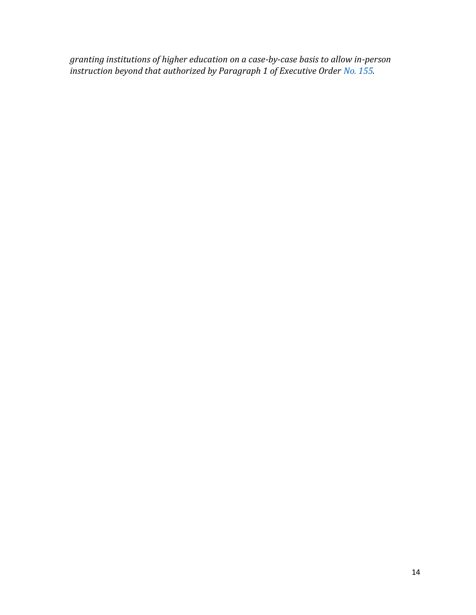*granting institutions of higher education on a case-by-case basis to allow in-person instruction beyond that authorized by Paragraph 1 of Executive Order No. 155.*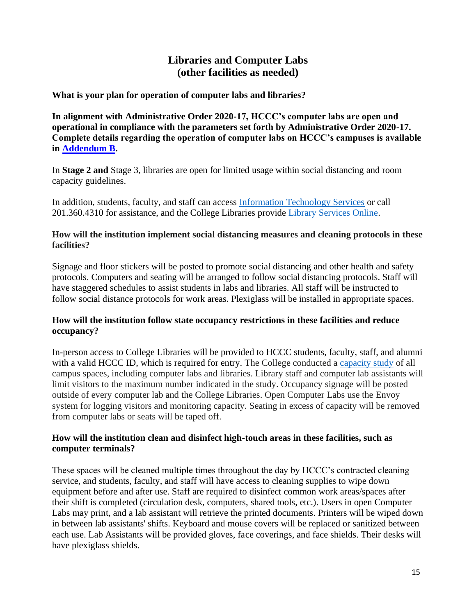## **Libraries and Computer Labs (other facilities as needed)**

#### <span id="page-14-0"></span>**What is your plan for operation of computer labs and libraries?**

**In alignment with Administrative Order 2020-17, HCCC's computer labs are open and operational in compliance with the parameters set forth by Administrative Order 2020-17. Complete details regarding the operation of computer labs on HCCC's campuses is available in [Addendum B.](#page-27-0)** 

In **Stage 2 and** Stage 3, libraries are open for limited usage within social distancing and room capacity guidelines.

In addition, students, faculty, and staff can access [Information Technology Services](http://trackit2/TrackItWeb/SelfService) or call 201.360.4310 for assistance, and the College Libraries provide [Library Services Online.](https://library.hccc.edu/remote)

#### **How will the institution implement social distancing measures and cleaning protocols in these facilities?**

Signage and floor stickers will be posted to promote social distancing and other health and safety protocols. Computers and seating will be arranged to follow social distancing protocols. Staff will have staggered schedules to assist students in labs and libraries. All staff will be instructed to follow social distance protocols for work areas. Plexiglass will be installed in appropriate spaces.

#### **How will the institution follow state occupancy restrictions in these facilities and reduce occupancy?**

In-person access to College Libraries will be provided to HCCC students, faculty, staff, and alumni with a valid HCCC ID, which is required for entry. The College conducted a [capacity study](http://www.hccc.edu/uploadedFiles/Pages/Campus_Life/Return_To_Campus/Final%206-24-20.pdf) of all campus spaces, including computer labs and libraries. Library staff and computer lab assistants will limit visitors to the maximum number indicated in the study. Occupancy signage will be posted outside of every computer lab and the College Libraries. Open Computer Labs use the Envoy system for logging visitors and monitoring capacity. Seating in excess of capacity will be removed from computer labs or seats will be taped off.

### **How will the institution clean and disinfect high-touch areas in these facilities, such as computer terminals?**

These spaces will be cleaned multiple times throughout the day by HCCC's contracted cleaning service, and students, faculty, and staff will have access to cleaning supplies to wipe down equipment before and after use. Staff are required to disinfect common work areas/spaces after their shift is completed (circulation desk, computers, shared tools, etc.). Users in open Computer Labs may print, and a lab assistant will retrieve the printed documents. Printers will be wiped down in between lab assistants' shifts. Keyboard and mouse covers will be replaced or sanitized between each use. Lab Assistants will be provided gloves, face coverings, and face shields. Their desks will have plexiglass shields.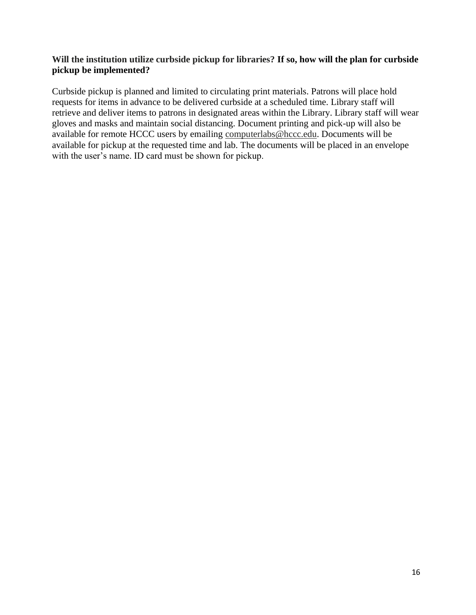#### **Will the institution utilize curbside pickup for libraries? If so, how will the plan for curbside pickup be implemented?**

Curbside pickup is planned and limited to circulating print materials. Patrons will place hold requests for items in advance to be delivered curbside at a scheduled time. Library staff will retrieve and deliver items to patrons in designated areas within the Library. Library staff will wear gloves and masks and maintain social distancing. Document printing and pick-up will also be available for remote HCCC users by emailing [computerlabs@hccc.edu.](mailto:computerlabs@hccc.edu) Documents will be available for pickup at the requested time and lab. The documents will be placed in an envelope with the user's name. ID card must be shown for pickup.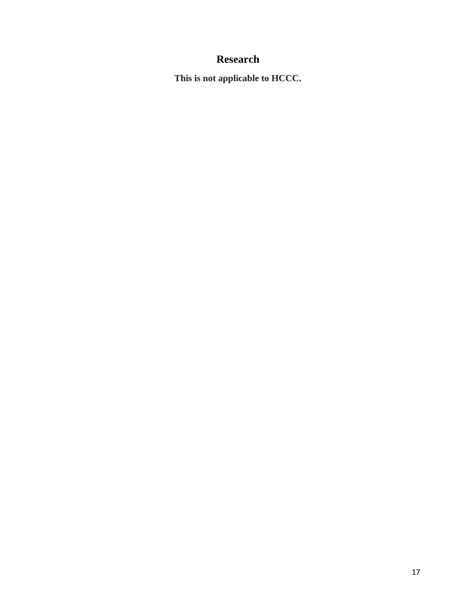# **Research**

<span id="page-16-0"></span>**This is not applicable to HCCC.**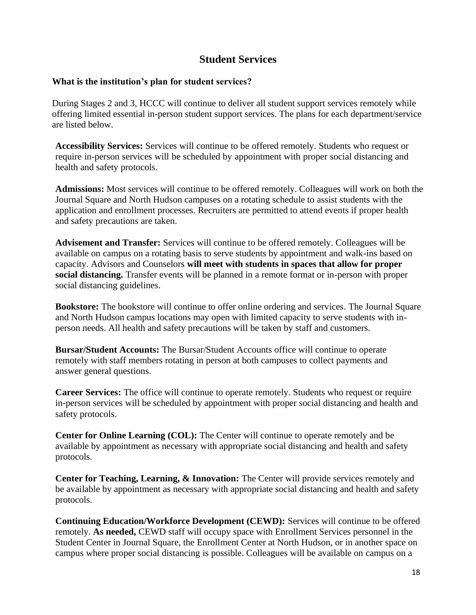## **Student Services**

#### <span id="page-17-0"></span>**What is the institution's plan for student services?**

During Stages 2 and 3, HCCC will continue to deliver all student support services remotely while offering limited essential in-person student support services. The plans for each department/service are listed below.

**Accessibility Services:** Services will continue to be offered remotely. Students who request or require in-person services will be scheduled by appointment with proper social distancing and health and safety protocols.

**Admissions:** Most services will continue to be offered remotely. Colleagues will work on both the Journal Square and North Hudson campuses on a rotating schedule to assist students with the application and enrollment processes. Recruiters are permitted to attend events if proper health and safety precautions are taken.

**Advisement and Transfer:** Services will continue to be offered remotely. Colleagues will be available on campus on a rotating basis to serve students by appointment and walk-ins based on capacity. Advisors and Counselors **will meet with students in spaces that allow for proper social distancing.** Transfer events will be planned in a remote format or in-person with proper social distancing guidelines.

**Bookstore:** The bookstore will continue to offer online ordering and services. The Journal Square and North Hudson campus locations may open with limited capacity to serve students with inperson needs. All health and safety precautions will be taken by staff and customers.

**Bursar/Student Accounts:** The Bursar/Student Accounts office will continue to operate remotely with staff members rotating in person at both campuses to collect payments and answer general questions.

**Career Services:** The office will continue to operate remotely. Students who request or require in-person services will be scheduled by appointment with proper social distancing and health and safety protocols.

**Center for Online Learning (COL):** The Center will continue to operate remotely and be available by appointment as necessary with appropriate social distancing and health and safety protocols.

**Center for Teaching, Learning, & Innovation:** The Center will provide services remotely and be available by appointment as necessary with appropriate social distancing and health and safety protocols.

**Continuing Education/Workforce Development (CEWD):** Services will continue to be offered remotely. **As needed,** CEWD staff will occupy space with Enrollment Services personnel in the Student Center in Journal Square, the Enrollment Center at North Hudson, or in another space on campus where proper social distancing is possible. Colleagues will be available on campus on a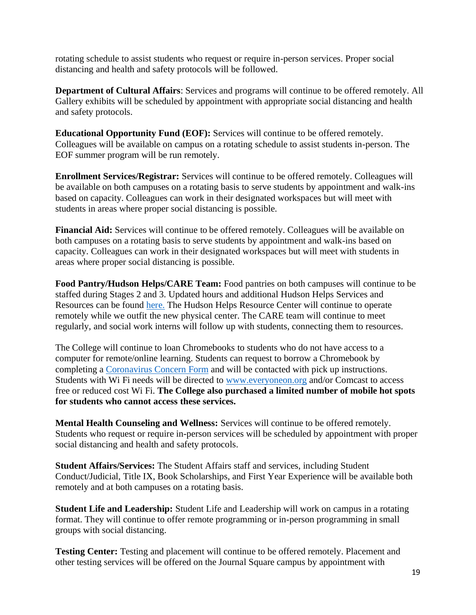rotating schedule to assist students who request or require in-person services. Proper social distancing and health and safety protocols will be followed.

**Department of Cultural Affairs**: Services and programs will continue to be offered remotely. All Gallery exhibits will be scheduled by appointment with appropriate social distancing and health and safety protocols.

**Educational Opportunity Fund (EOF):** Services will continue to be offered remotely. Colleagues will be available on campus on a rotating schedule to assist students in-person. The EOF summer program will be run remotely.

**Enrollment Services/Registrar:** Services will continue to be offered remotely. Colleagues will be available on both campuses on a rotating basis to serve students by appointment and walk-ins based on capacity. Colleagues can work in their designated workspaces but will meet with students in areas where proper social distancing is possible.

**Financial Aid:** Services will continue to be offered remotely. Colleagues will be available on both campuses on a rotating basis to serve students by appointment and walk-ins based on capacity. Colleagues can work in their designated workspaces but will meet with students in areas where proper social distancing is possible.

**Food Pantry/Hudson Helps/CARE Team:** Food pantries on both campuses will continue to be staffed during Stages 2 and 3. Updated hours and additional Hudson Helps Services and Resources can be found [here.](http://www.hccc.edu/hudson-helps/) The Hudson Helps Resource Center will continue to operate remotely while we outfit the new physical center. The CARE team will continue to meet regularly, and social work interns will follow up with students, connecting them to resources.

The College will continue to loan Chromebooks to students who do not have access to a computer for remote/online learning. Students can request to borrow a Chromebook by completing a [Coronavirus Concern Form](https://cm.maxient.com/reportingform.php?HudsonCountyCC&layout_id=5) and will be contacted with pick up instructions. Students with Wi Fi needs will be directed to [www.everyoneon.org](http://www.everyoneon.org/) and/or Comcast to access free or reduced cost Wi Fi. **The College also purchased a limited number of mobile hot spots for students who cannot access these services.**

**Mental Health Counseling and Wellness:** Services will continue to be offered remotely. Students who request or require in-person services will be scheduled by appointment with proper social distancing and health and safety protocols.

**Student Affairs/Services:** The Student Affairs staff and services, including Student Conduct/Judicial, Title IX, Book Scholarships, and First Year Experience will be available both remotely and at both campuses on a rotating basis.

**Student Life and Leadership:** Student Life and Leadership will work on campus in a rotating format. They will continue to offer remote programming or in-person programming in small groups with social distancing.

**Testing Center:** Testing and placement will continue to be offered remotely. Placement and other testing services will be offered on the Journal Square campus by appointment with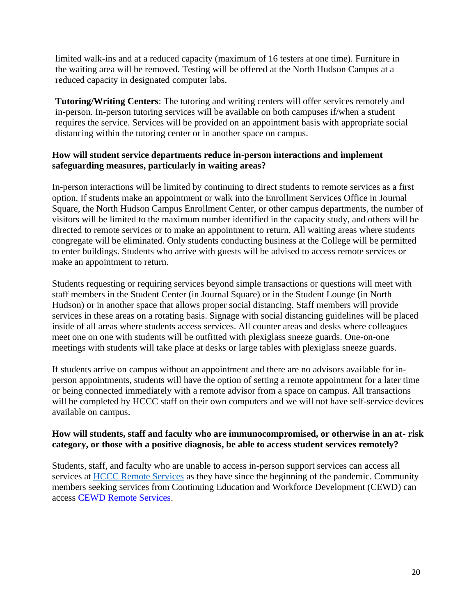limited walk-ins and at a reduced capacity (maximum of 16 testers at one time). Furniture in the waiting area will be removed. Testing will be offered at the North Hudson Campus at a reduced capacity in designated computer labs.

**Tutoring/Writing Centers**: The tutoring and writing centers will offer services remotely and in-person. In-person tutoring services will be available on both campuses if/when a student requires the service. Services will be provided on an appointment basis with appropriate social distancing within the tutoring center or in another space on campus.

#### **How will student service departments reduce in-person interactions and implement safeguarding measures, particularly in waiting areas?**

In-person interactions will be limited by continuing to direct students to remote services as a first option. If students make an appointment or walk into the Enrollment Services Office in Journal Square, the North Hudson Campus Enrollment Center, or other campus departments, the number of visitors will be limited to the maximum number identified in the capacity study, and others will be directed to remote services or to make an appointment to return. All waiting areas where students congregate will be eliminated. Only students conducting business at the College will be permitted to enter buildings. Students who arrive with guests will be advised to access remote services or make an appointment to return.

Students requesting or requiring services beyond simple transactions or questions will meet with staff members in the Student Center (in Journal Square) or in the Student Lounge (in North Hudson) or in another space that allows proper social distancing. Staff members will provide services in these areas on a rotating basis. Signage with social distancing guidelines will be placed inside of all areas where students access services. All counter areas and desks where colleagues meet one on one with students will be outfitted with plexiglass sneeze guards. One-on-one meetings with students will take place at desks or large tables with plexiglass sneeze guards.

If students arrive on campus without an appointment and there are no advisors available for inperson appointments, students will have the option of setting a remote appointment for a later time or being connected immediately with a remote advisor from a space on campus. All transactions will be completed by HCCC staff on their own computers and we will not have self-service devices available on campus.

#### **How will students, staff and faculty who are immunocompromised, or otherwise in an at- risk category, or those with a positive diagnosis, be able to access student services remotely?**

Students, staff, and faculty who are unable to access in-person support services can access all services at [HCCC Remote Services](http://www.hccc.edu/remoteservices) as they have since the beginning of the pandemic. Community members seeking services from Continuing Education and Workforce Development (CEWD) can access CEWD [Remote Services.](http://hccc.edu/uploadedFiles/Pages/Programs_and_Certificates/Community_Education/Remote%20HCCC%20CEWD%20Services%20Final%203-31-20.pdf)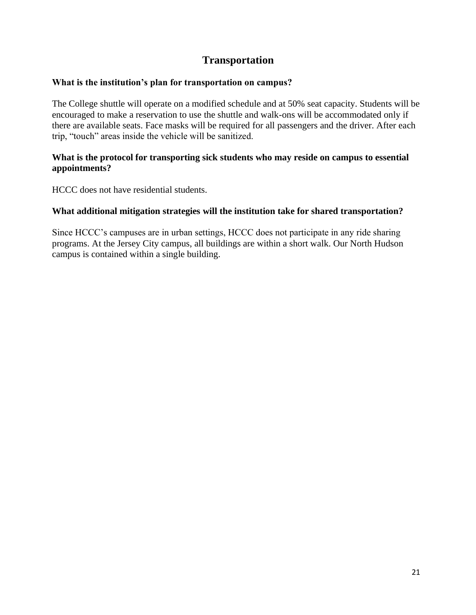## **Transportation**

#### <span id="page-20-0"></span>**What is the institution's plan for transportation on campus?**

The College shuttle will operate on a modified schedule and at 50% seat capacity. Students will be encouraged to make a reservation to use the shuttle and walk-ons will be accommodated only if there are available seats. Face masks will be required for all passengers and the driver. After each trip, "touch" areas inside the vehicle will be sanitized.

#### **What is the protocol for transporting sick students who may reside on campus to essential appointments?**

HCCC does not have residential students.

#### **What additional mitigation strategies will the institution take for shared transportation?**

Since HCCC's campuses are in urban settings, HCCC does not participate in any ride sharing programs. At the Jersey City campus, all buildings are within a short walk. Our North Hudson campus is contained within a single building.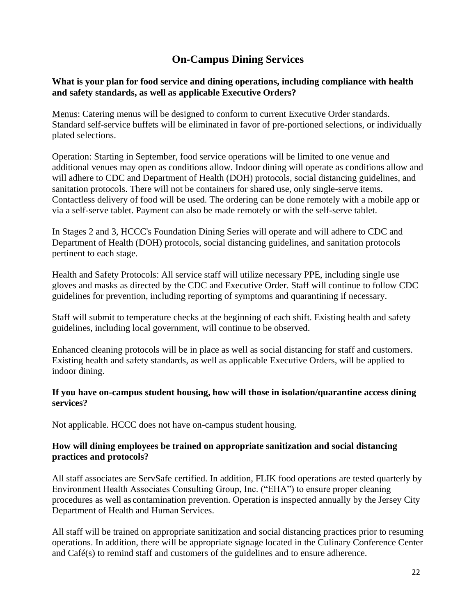# **On-Campus Dining Services**

#### <span id="page-21-0"></span>**What is your plan for food service and dining operations, including compliance with health and safety standards, as well as applicable Executive Orders?**

Menus: Catering menus will be designed to conform to current Executive Order standards. Standard self-service buffets will be eliminated in favor of pre-portioned selections, or individually plated selections.

Operation: Starting in September, food service operations will be limited to one venue and additional venues may open as conditions allow. Indoor dining will operate as conditions allow and will adhere to CDC and Department of Health (DOH) protocols, social distancing guidelines, and sanitation protocols. There will not be containers for shared use, only single-serve items. Contactless delivery of food will be used. The ordering can be done remotely with a mobile app or via a self-serve tablet. Payment can also be made remotely or with the self-serve tablet.

In Stages 2 and 3, HCCC's Foundation Dining Series will operate and will adhere to CDC and Department of Health (DOH) protocols, social distancing guidelines, and sanitation protocols pertinent to each stage.

Health and Safety Protocols: All service staff will utilize necessary PPE, including single use gloves and masks as directed by the CDC and Executive Order. Staff will continue to follow CDC guidelines for prevention, including reporting of symptoms and quarantining if necessary.

Staff will submit to temperature checks at the beginning of each shift. Existing health and safety guidelines, including local government, will continue to be observed.

Enhanced cleaning protocols will be in place as well as social distancing for staff and customers. Existing health and safety standards, as well as applicable Executive Orders, will be applied to indoor dining.

#### **If you have on-campus student housing, how will those in isolation/quarantine access dining services?**

Not applicable. HCCC does not have on-campus student housing.

### **How will dining employees be trained on appropriate sanitization and social distancing practices and protocols?**

All staff associates are ServSafe certified. In addition, FLIK food operations are tested quarterly by Environment Health Associates Consulting Group, Inc. ("EHA") to ensure proper cleaning procedures as well as contamination prevention. Operation is inspected annually by the Jersey City Department of Health and Human Services.

All staff will be trained on appropriate sanitization and social distancing practices prior to resuming operations. In addition, there will be appropriate signage located in the Culinary Conference Center and Café(s) to remind staff and customers of the guidelines and to ensure adherence.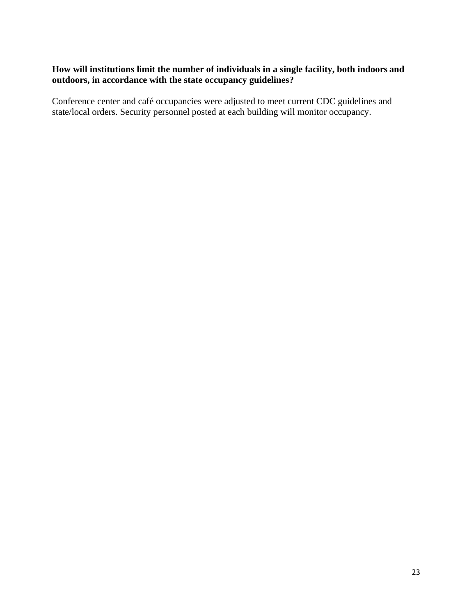#### **How will institutions limit the number of individuals in a single facility, both indoors and outdoors, in accordance with the state occupancy guidelines?**

Conference center and café occupancies were adjusted to meet current CDC guidelines and state/local orders. Security personnel posted at each building will monitor occupancy.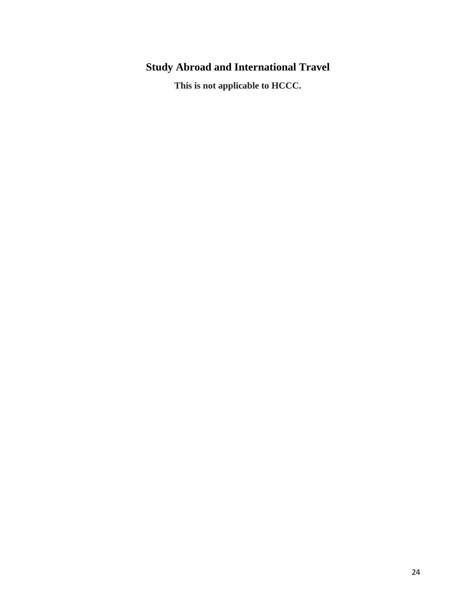# <span id="page-23-0"></span>**Study Abroad and International Travel**

**This is not applicable to HCCC.**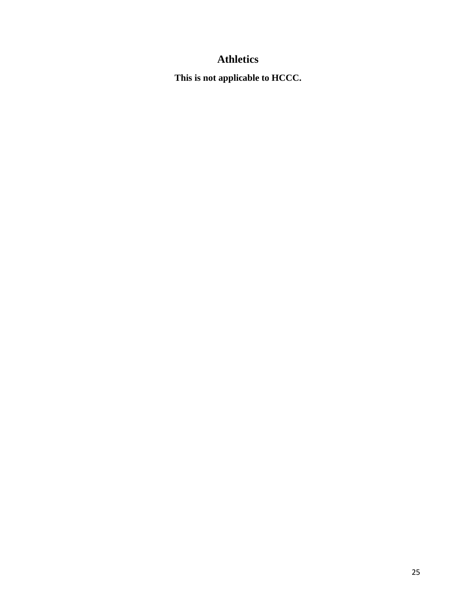# **Athletics**

<span id="page-24-0"></span>**This is not applicable to HCCC.**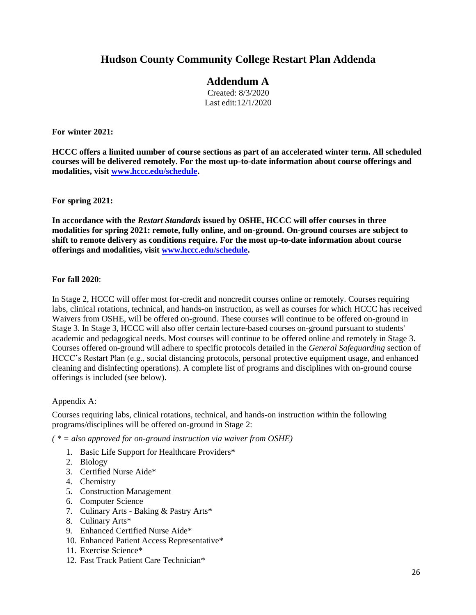## **Hudson County Community College Restart Plan Addenda**

## **Addendum A**

Created: 8/3/2020 Last edit:12/1/2020

<span id="page-25-0"></span>**For winter 2021:**

**HCCC offers a limited number of course sections as part of an accelerated winter term. All scheduled courses will be delivered remotely. For the most up-to-date information about course offerings and modalities, visit [www.hccc.edu/schedule.](http://www.hccc.edu/schedule)**

**For spring 2021:**

**In accordance with the** *Restart Standards* **issued by OSHE, HCCC will offer courses in three modalities for spring 2021: remote, fully online, and on-ground. On-ground courses are subject to shift to remote delivery as conditions require. For the most up-to-date information about course offerings and modalities, visit [www.hccc.edu/schedule.](http://www.hccc.edu/schedule)**

#### **For fall 2020**:

In Stage 2, HCCC will offer most for-credit and noncredit courses online or remotely. Courses requiring labs, clinical rotations, technical, and hands-on instruction, as well as courses for which HCCC has received Waivers from OSHE, will be offered on-ground. These courses will continue to be offered on-ground in Stage 3. In Stage 3, HCCC will also offer certain lecture-based courses on-ground pursuant to students' academic and pedagogical needs. Most courses will continue to be offered online and remotely in Stage 3. Courses offered on-ground will adhere to specific protocols detailed in the *General Safeguarding* section of HCCC's Restart Plan (e.g., social distancing protocols, personal protective equipment usage, and enhanced cleaning and disinfecting operations). A complete list of programs and disciplines with on-ground course offerings is included (see below).

#### Appendix A:

Courses requiring labs, clinical rotations, technical, and hands-on instruction within the following programs/disciplines will be offered on-ground in Stage 2:

*( \* = also approved for on-ground instruction via waiver from OSHE)*

- 1. Basic Life Support for Healthcare Providers\*
- 2. Biology
- 3. Certified Nurse Aide\*
- 4. Chemistry
- 5. Construction Management
- 6. Computer Science
- 7. Culinary Arts Baking & Pastry Arts\*
- 8. Culinary Arts\*
- 9. Enhanced Certified Nurse Aide\*
- 10. Enhanced Patient Access Representative\*
- 11. Exercise Science\*
- 12. Fast Track Patient Care Technician\*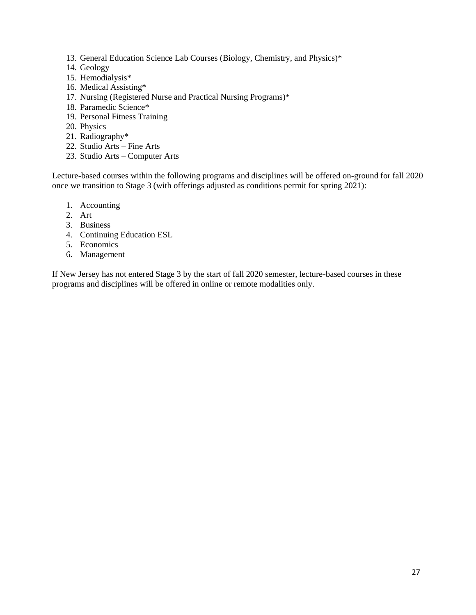- 13. General Education Science Lab Courses (Biology, Chemistry, and Physics)\*
- 14. Geology
- 15. Hemodialysis\*
- 16. Medical Assisting\*
- 17. Nursing (Registered Nurse and Practical Nursing Programs)\*
- 18. Paramedic Science\*
- 19. Personal Fitness Training
- 20. Physics
- 21. Radiography\*
- 22. Studio Arts Fine Arts
- 23. Studio Arts Computer Arts

Lecture-based courses within the following programs and disciplines will be offered on-ground for fall 2020 once we transition to Stage 3 (with offerings adjusted as conditions permit for spring 2021):

- 1. Accounting
- 2. Art
- 3. Business
- 4. Continuing Education ESL
- 5. Economics
- 6. Management

If New Jersey has not entered Stage 3 by the start of fall 2020 semester, lecture-based courses in these programs and disciplines will be offered in online or remote modalities only.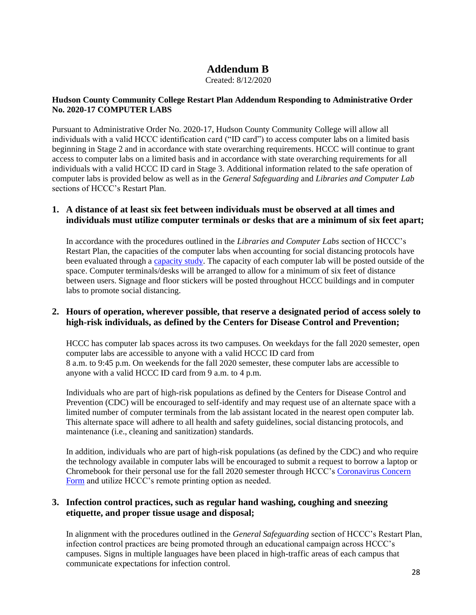## **Addendum B**

Created: 8/12/2020

#### <span id="page-27-0"></span>**Hudson County Community College Restart Plan Addendum Responding to Administrative Order No. 2020-17 COMPUTER LABS**

Pursuant to Administrative Order No. 2020-17, Hudson County Community College will allow all individuals with a valid HCCC identification card ("ID card") to access computer labs on a limited basis beginning in Stage 2 and in accordance with state overarching requirements. HCCC will continue to grant access to computer labs on a limited basis and in accordance with state overarching requirements for all individuals with a valid HCCC ID card in Stage 3. Additional information related to the safe operation of computer labs is provided below as well as in the *General Safeguarding* and *Libraries and Computer Lab* sections of HCCC's Restart Plan.

#### **1. A distance of at least six feet between individuals must be observed at all times and individuals must utilize computer terminals or desks that are a minimum of six feet apart;**

In accordance with the procedures outlined in the *Libraries and Computer Labs* section of HCCC's Restart Plan, the capacities of the computer labs when accounting for social distancing protocols have been evaluated through a [capacity study.](http://www.hccc.edu/uploadedFiles/Pages/Campus_Life/Return_To_Campus/Final%206-24-20.pdf) The capacity of each computer lab will be posted outside of the space. Computer terminals/desks will be arranged to allow for a minimum of six feet of distance between users. Signage and floor stickers will be posted throughout HCCC buildings and in computer labs to promote social distancing.

#### **2. Hours of operation, wherever possible, that reserve a designated period of access solely to high-risk individuals, as defined by the Centers for Disease Control and Prevention;**

HCCC has computer lab spaces across its two campuses. On weekdays for the fall 2020 semester, open computer labs are accessible to anyone with a valid HCCC ID card from 8 a.m. to 9:45 p.m. On weekends for the fall 2020 semester, these computer labs are accessible to anyone with a valid HCCC ID card from 9 a.m. to 4 p.m.

Individuals who are part of high-risk populations as defined by the Centers for Disease Control and Prevention (CDC) will be encouraged to self-identify and may request use of an alternate space with a limited number of computer terminals from the lab assistant located in the nearest open computer lab. This alternate space will adhere to all health and safety guidelines, social distancing protocols, and maintenance (i.e., cleaning and sanitization) standards.

In addition, individuals who are part of high-risk populations (as defined by the CDC) and who require the technology available in computer labs will be encouraged to submit a request to borrow a laptop or Chromebook for their personal use for the fall 2020 semester through HCCC's [Coronavirus Concern](https://cm.maxient.com/reportingform.php?HudsonCountyCC&layout_id=5)  [Form](https://cm.maxient.com/reportingform.php?HudsonCountyCC&layout_id=5) and utilize HCCC's remote printing option as needed.

#### **3. Infection control practices, such as regular hand washing, coughing and sneezing etiquette, and proper tissue usage and disposal;**

In alignment with the procedures outlined in the *General Safeguarding* section of HCCC's Restart Plan, infection control practices are being promoted through an educational campaign across HCCC's campuses. Signs in multiple languages have been placed in high-traffic areas of each campus that communicate expectations for infection control.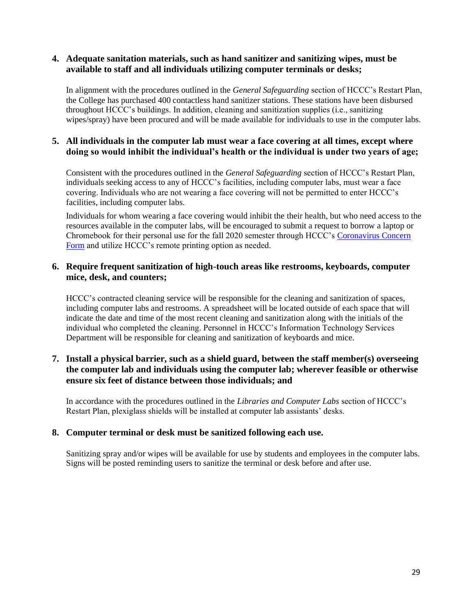#### **4. Adequate sanitation materials, such as hand sanitizer and sanitizing wipes, must be available to staff and all individuals utilizing computer terminals or desks;**

In alignment with the procedures outlined in the *General Safeguarding* section of HCCC's Restart Plan, the College has purchased 400 contactless hand sanitizer stations. These stations have been disbursed throughout HCCC's buildings. In addition, cleaning and sanitization supplies (i.e., sanitizing wipes/spray) have been procured and will be made available for individuals to use in the computer labs.

#### **5. All individuals in the computer lab must wear a face covering at all times, except where doing so would inhibit the individual's health or the individual is under two years of age;**

Consistent with the procedures outlined in the *General Safeguarding* section of HCCC's Restart Plan, individuals seeking access to any of HCCC's facilities, including computer labs, must wear a face covering. Individuals who are not wearing a face covering will not be permitted to enter HCCC's facilities, including computer labs.

Individuals for whom wearing a face covering would inhibit the their health, but who need access to the resources available in the computer labs, will be encouraged to submit a request to borrow a laptop or Chromebook for their personal use for the fall 2020 semester through HCCC's [Coronavirus Concern](https://cm.maxient.com/reportingform.php?HudsonCountyCC&layout_id=5)  [Form](https://cm.maxient.com/reportingform.php?HudsonCountyCC&layout_id=5) and utilize HCCC's remote printing option as needed.

#### **6. Require frequent sanitization of high-touch areas like restrooms, keyboards, computer mice, desk, and counters;**

HCCC's contracted cleaning service will be responsible for the cleaning and sanitization of spaces, including computer labs and restrooms. A spreadsheet will be located outside of each space that will indicate the date and time of the most recent cleaning and sanitization along with the initials of the individual who completed the cleaning. Personnel in HCCC's Information Technology Services Department will be responsible for cleaning and sanitization of keyboards and mice.

#### **7. Install a physical barrier, such as a shield guard, between the staff member(s) overseeing the computer lab and individuals using the computer lab; wherever feasible or otherwise ensure six feet of distance between those individuals; and**

In accordance with the procedures outlined in the *Libraries and Computer Labs* section of HCCC's Restart Plan, plexiglass shields will be installed at computer lab assistants' desks.

#### **8. Computer terminal or desk must be sanitized following each use.**

Sanitizing spray and/or wipes will be available for use by students and employees in the computer labs. Signs will be posted reminding users to sanitize the terminal or desk before and after use.